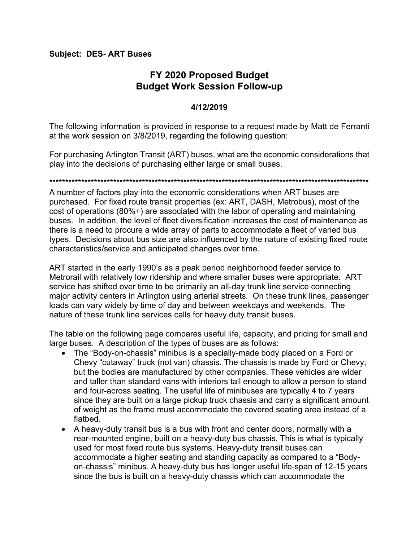## **Subject: DES- ART Buses**

## **FY 2020 Proposed Budget Budget Work Session Follow-up**

## **4/12/2019**

The following information is provided in response to a request made by Matt de Ferranti at the work session on 3/8/2019, regarding the following question:

For purchasing Arlington Transit (ART) buses, what are the economic considerations that play into the decisions of purchasing either large or small buses.

\*\*\*\*\*\*\*\*\*\*\*\*\*\*\*\*\*\*\*\*\*\*\*\*\*\*\*\*\*\*\*\*\*\*\*\*\*\*\*\*\*\*\*\*\*\*\*\*\*\*\*\*\*\*\*\*\*\*\*\*\*\*\*\*\*\*\*\*\*\*\*\*\*\*\*\*\*\*\*\*\*\*\*\*\*\*\*\*\*\*\*\*\*\*\*\*\*\*\*\*

A number of factors play into the economic considerations when ART buses are purchased. For fixed route transit properties (ex: ART, DASH, Metrobus), most of the cost of operations (80%+) are associated with the labor of operating and maintaining buses. In addition, the level of fleet diversification increases the cost of maintenance as there is a need to procure a wide array of parts to accommodate a fleet of varied bus types. Decisions about bus size are also influenced by the nature of existing fixed route characteristics/service and anticipated changes over time.

ART started in the early 1990's as a peak period neighborhood feeder service to Metrorail with relatively low ridership and where smaller buses were appropriate. ART service has shifted over time to be primarily an all-day trunk line service connecting major activity centers in Arlington using arterial streets. On these trunk lines, passenger loads can vary widely by time of day and between weekdays and weekends. The nature of these trunk line services calls for heavy duty transit buses.

The table on the following page compares useful life, capacity, and pricing for small and large buses. A description of the types of buses are as follows:

- The "Body-on-chassis" minibus is a specially-made body placed on a Ford or Chevy "cutaway" truck (not van) chassis. The chassis is made by Ford or Chevy, but the bodies are manufactured by other companies. These vehicles are wider and taller than standard vans with interiors tall enough to allow a person to stand and four-across seating. The useful life of minibuses are typically 4 to 7 years since they are built on a large pickup truck chassis and carry a significant amount of weight as the frame must accommodate the covered seating area instead of a flatbed.
- A heavy-duty transit bus is a bus with front and center doors, normally with a rear-mounted engine, built on a heavy-duty bus chassis. This is what is typically used for most fixed route bus systems. Heavy-duty transit buses can accommodate a higher seating and standing capacity as compared to a "Bodyon-chassis" minibus. A heavy-duty bus has longer useful life-span of 12-15 years since the bus is built on a heavy-duty chassis which can accommodate the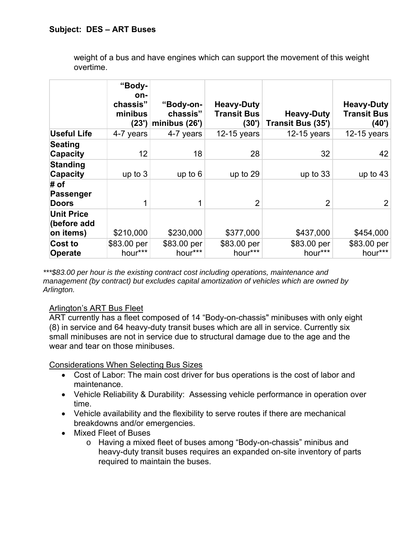weight of a bus and have engines which can support the movement of this weight overtime.

|                                               | "Body-<br>on-<br>chassis"<br>minibus<br>(23') | "Body-on-<br>chassis"<br>minibus (26') | <b>Heavy-Duty</b><br><b>Transit Bus</b><br>(30') | <b>Heavy-Duty</b><br>Transit Bus (35') | <b>Heavy-Duty</b><br><b>Transit Bus</b><br>(40') |
|-----------------------------------------------|-----------------------------------------------|----------------------------------------|--------------------------------------------------|----------------------------------------|--------------------------------------------------|
| <b>Useful Life</b>                            | 4-7 years                                     | 4-7 years                              | 12-15 years                                      | $12-15$ years                          | 12-15 years                                      |
| <b>Seating</b><br><b>Capacity</b>             | 12                                            | 18                                     | 28                                               | 32                                     | 42                                               |
| <b>Standing</b><br><b>Capacity</b>            | up to $3$                                     | up to $6$                              | up to 29                                         | up to 33                               | up to $43$                                       |
| # of<br>Passenger<br><b>Doors</b>             |                                               | 1                                      | $\overline{2}$                                   | $\overline{2}$                         | $\overline{2}$                                   |
| <b>Unit Price</b><br>(before add<br>on items) | \$210,000                                     | \$230,000                              | \$377,000                                        | \$437,000                              | \$454,000                                        |
| Cost to<br><b>Operate</b>                     | \$83.00 per<br>hour***                        | \$83.00 per<br>hour***                 | \$83.00 per<br>hour***                           | \$83.00 per<br>hour***                 | \$83.00 per<br>hour***                           |

*\*\*\*\$83.00 per hour is the existing contract cost including operations, maintenance and management (by contract) but excludes capital amortization of vehicles which are owned by Arlington.*

## Arlington's ART Bus Fleet

ART currently has a fleet composed of 14 "Body-on-chassis" minibuses with only eight (8) in service and 64 heavy-duty transit buses which are all in service. Currently six small minibuses are not in service due to structural damage due to the age and the wear and tear on those minibuses.

Considerations When Selecting Bus Sizes

- Cost of Labor: The main cost driver for bus operations is the cost of labor and maintenance.
- Vehicle Reliability & Durability: Assessing vehicle performance in operation over time.
- Vehicle availability and the flexibility to serve routes if there are mechanical breakdowns and/or emergencies.
- Mixed Fleet of Buses
	- o Having a mixed fleet of buses among "Body-on-chassis" minibus and heavy-duty transit buses requires an expanded on-site inventory of parts required to maintain the buses.